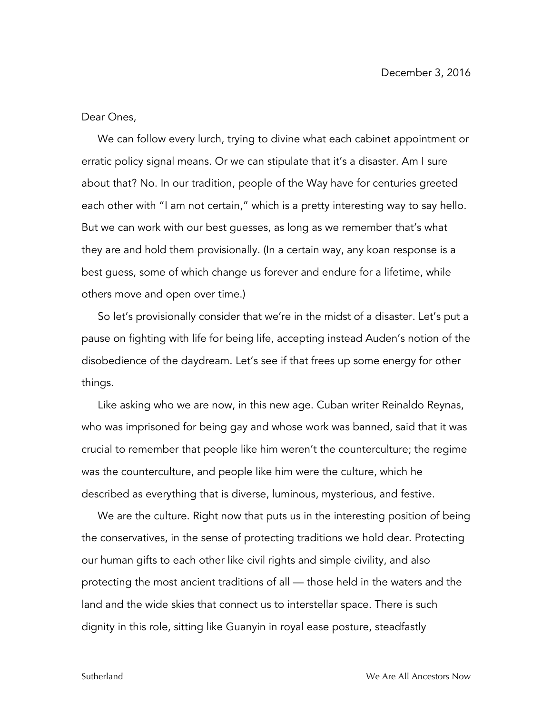Dear Ones,

We can follow every lurch, trying to divine what each cabinet appointment or erratic policy signal means. Or we can stipulate that it's a disaster. Am I sure about that? No. In our tradition, people of the Way have for centuries greeted each other with "I am not certain," which is a pretty interesting way to say hello. But we can work with our best guesses, as long as we remember that's what they are and hold them provisionally. (In a certain way, any koan response is a best guess, some of which change us forever and endure for a lifetime, while others move and open over time.)

So let's provisionally consider that we're in the midst of a disaster. Let's put a pause on fighting with life for being life, accepting instead Auden's notion of the disobedience of the daydream. Let's see if that frees up some energy for other things.

Like asking who we are now, in this new age. Cuban writer Reinaldo Reynas, who was imprisoned for being gay and whose work was banned, said that it was crucial to remember that people like him weren't the counterculture; the regime was the counterculture, and people like him were the culture, which he described as everything that is diverse, luminous, mysterious, and festive.

We are the culture. Right now that puts us in the interesting position of being the conservatives, in the sense of protecting traditions we hold dear. Protecting our human gifts to each other like civil rights and simple civility, and also protecting the most ancient traditions of all — those held in the waters and the land and the wide skies that connect us to interstellar space. There is such dignity in this role, sitting like Guanyin in royal ease posture, steadfastly